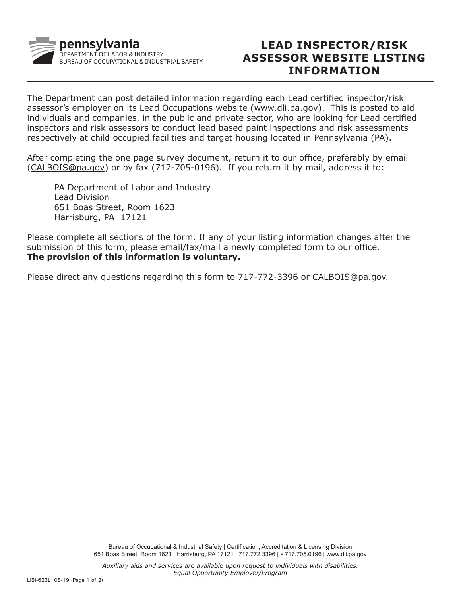

## **LEAD INSPECTOR/RISK ASSESSOR WEBSITE LISTING INFORMATION**

The Department can post detailed information regarding each Lead certified inspector/risk assessor's employer on its Lead Occupations website (www.dli.pa.gov). This is posted to aid individuals and companies, in the public and private sector, who are looking for Lead certified inspectors and risk assessors to conduct lead based paint inspections and risk assessments respectively at child occupied facilities and target housing located in Pennsylvania (PA).

After completing the one page survey document, return it to our office, preferably by email (CALBOIS@pa.gov) or by fax (717-705-0196). If you return it by mail, address it to:

PA Department of Labor and Industry Lead Division 651 Boas Street, Room 1623 Harrisburg, PA 17121

Please complete all sections of the form. If any of your listing information changes after the submission of this form, please email/fax/mail a newly completed form to our office. **The provision of this information is voluntary.** 

Please direct any questions regarding this form to 717-772-3396 or CALBOIS@pa.gov.